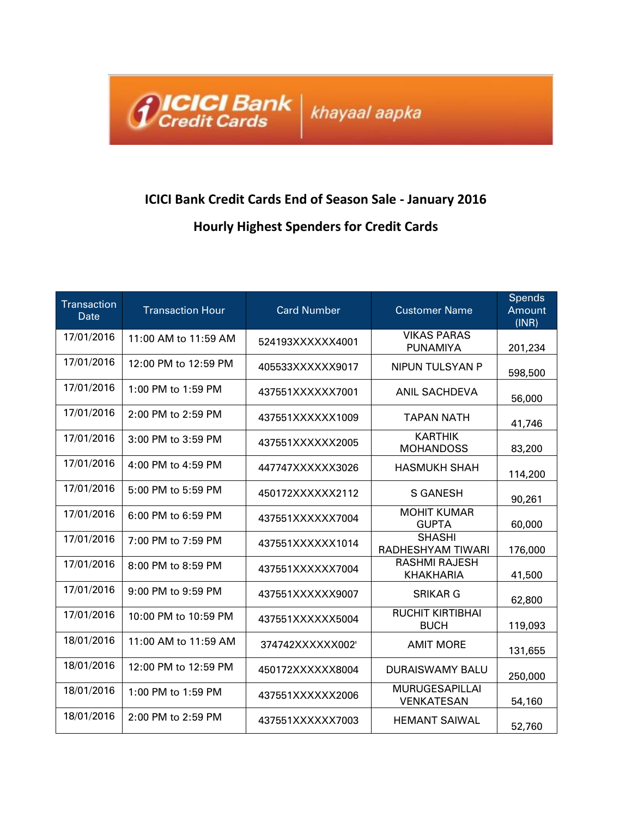

## **ICICI Bank Credit Cards End of Season Sale - January 2016 Hourly Highest Spenders for Credit Cards**

| <b>Transaction</b><br>Date | <b>Transaction Hour</b> | <b>Card Number</b> | <b>Customer Name</b>                       | Spends<br>Amount<br>(INR) |
|----------------------------|-------------------------|--------------------|--------------------------------------------|---------------------------|
| 17/01/2016                 | 11:00 AM to 11:59 AM    | 524193XXXXXX4001   | <b>VIKAS PARAS</b><br><b>PUNAMIYA</b>      | 201,234                   |
| 17/01/2016                 | 12:00 PM to 12:59 PM    | 405533XXXXXX9017   | <b>NIPUN TULSYAN P</b>                     | 598,500                   |
| 17/01/2016                 | 1:00 PM to 1:59 PM      | 437551XXXXXX7001   | ANIL SACHDEVA                              | 56,000                    |
| 17/01/2016                 | 2:00 PM to 2:59 PM      | 437551XXXXXX1009   | <b>TAPAN NATH</b>                          | 41,746                    |
| 17/01/2016                 | 3:00 PM to 3:59 PM      | 437551XXXXXX2005   | <b>KARTHIK</b><br><b>MOHANDOSS</b>         | 83,200                    |
| 17/01/2016                 | 4:00 PM to 4:59 PM      | 447747XXXXXX3026   | <b>HASMUKH SHAH</b>                        | 114,200                   |
| 17/01/2016                 | 5:00 PM to 5:59 PM      | 450172XXXXXX2112   | <b>S GANESH</b>                            | 90,261                    |
| 17/01/2016                 | 6:00 PM to 6:59 PM      | 437551XXXXXX7004   | <b>MOHIT KUMAR</b><br><b>GUPTA</b>         | 60,000                    |
| 17/01/2016                 | 7:00 PM to 7:59 PM      | 437551XXXXXX1014   | <b>SHASHI</b><br>RADHESHYAM TIWARI         | 176,000                   |
| 17/01/2016                 | 8:00 PM to 8:59 PM      | 437551XXXXXX7004   | <b>RASHMI RAJESH</b><br><b>KHAKHARIA</b>   | 41,500                    |
| 17/01/2016                 | 9:00 PM to 9:59 PM      | 437551XXXXXX9007   | <b>SRIKAR G</b>                            | 62,800                    |
| 17/01/2016                 | 10:00 PM to 10:59 PM    | 437551XXXXXX5004   | <b>RUCHIT KIRTIBHAI</b><br><b>BUCH</b>     | 119,093                   |
| 18/01/2016                 | 11:00 AM to 11:59 AM    | 374742XXXXXX002    | <b>AMIT MORE</b>                           | 131,655                   |
| 18/01/2016                 | 12:00 PM to 12:59 PM    | 450172XXXXXX8004   | <b>DURAISWAMY BALU</b>                     | 250,000                   |
| 18/01/2016                 | 1:00 PM to 1:59 PM      | 437551XXXXXX2006   | <b>MURUGESAPILLAI</b><br><b>VENKATESAN</b> | 54,160                    |
| 18/01/2016                 | 2:00 PM to 2:59 PM      | 437551XXXXXX7003   | <b>HEMANT SAIWAL</b>                       | 52,760                    |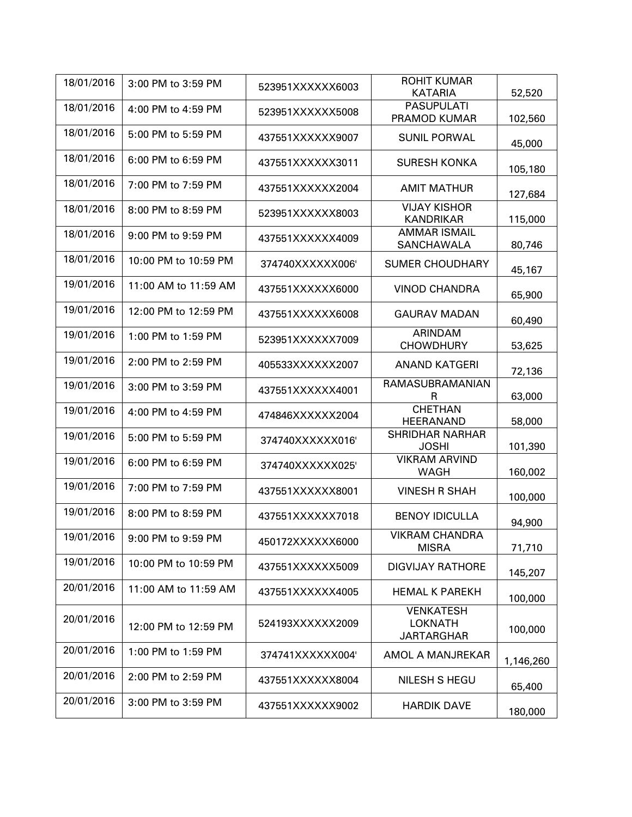| 18/01/2016 | 3:00 PM to 3:59 PM   | 523951XXXXXX6003 | <b>ROHIT KUMAR</b>                                      |           |
|------------|----------------------|------------------|---------------------------------------------------------|-----------|
|            |                      |                  | <b>KATARIA</b>                                          | 52,520    |
| 18/01/2016 | 4:00 PM to 4:59 PM   | 523951XXXXXX5008 | <b>PASUPULATI</b><br>PRAMOD KUMAR                       | 102,560   |
| 18/01/2016 | 5:00 PM to 5:59 PM   | 437551XXXXXX9007 | <b>SUNIL PORWAL</b>                                     | 45,000    |
| 18/01/2016 | 6:00 PM to 6:59 PM   | 437551XXXXXX3011 | <b>SURESH KONKA</b>                                     | 105,180   |
| 18/01/2016 | 7:00 PM to 7:59 PM   | 437551XXXXXX2004 | <b>AMIT MATHUR</b>                                      | 127,684   |
| 18/01/2016 | 8:00 PM to 8:59 PM   | 523951XXXXXX8003 | <b>VIJAY KISHOR</b><br><b>KANDRIKAR</b>                 | 115,000   |
| 18/01/2016 | 9:00 PM to 9:59 PM   | 437551XXXXXX4009 | <b>AMMAR ISMAIL</b><br><b>SANCHAWALA</b>                | 80,746    |
| 18/01/2016 | 10:00 PM to 10:59 PM | 374740XXXXXX006  | <b>SUMER CHOUDHARY</b>                                  | 45,167    |
| 19/01/2016 | 11:00 AM to 11:59 AM | 437551XXXXXX6000 | <b>VINOD CHANDRA</b>                                    | 65,900    |
| 19/01/2016 | 12:00 PM to 12:59 PM | 437551XXXXXX6008 | <b>GAURAV MADAN</b>                                     | 60,490    |
| 19/01/2016 | 1:00 PM to 1:59 PM   | 523951XXXXXX7009 | ARINDAM<br><b>CHOWDHURY</b>                             | 53,625    |
| 19/01/2016 | 2:00 PM to 2:59 PM   | 405533XXXXXX2007 | <b>ANAND KATGERI</b>                                    | 72,136    |
| 19/01/2016 | 3:00 PM to 3:59 PM   | 437551XXXXXX4001 | RAMASUBRAMANIAN<br>R                                    | 63,000    |
| 19/01/2016 | 4:00 PM to 4:59 PM   | 474846XXXXXX2004 | <b>CHETHAN</b><br>HEERANAND                             | 58,000    |
| 19/01/2016 | 5:00 PM to 5:59 PM   | 374740XXXXXX016  | <b>SHRIDHAR NARHAR</b><br><b>JOSHI</b>                  | 101,390   |
| 19/01/2016 | 6:00 PM to 6:59 PM   | 374740XXXXXX025  | <b>VIKRAM ARVIND</b><br><b>WAGH</b>                     | 160,002   |
| 19/01/2016 | 7:00 PM to 7:59 PM   | 437551XXXXXX8001 | <b>VINESH R SHAH</b>                                    | 100,000   |
| 19/01/2016 | 8:00 PM to 8:59 PM   | 437551XXXXXX7018 | <b>BENOY IDICULLA</b>                                   | 94,900    |
| 19/01/2016 | 9:00 PM to 9:59 PM   | 450172XXXXXX6000 | <b>VIKRAM CHANDRA</b><br><b>MISRA</b>                   | 71,710    |
| 19/01/2016 | 10:00 PM to 10:59 PM | 437551XXXXXX5009 | <b>DIGVIJAY RATHORE</b>                                 | 145,207   |
| 20/01/2016 | 11:00 AM to 11:59 AM | 437551XXXXXX4005 | <b>HEMAL K PAREKH</b>                                   | 100,000   |
| 20/01/2016 | 12:00 PM to 12:59 PM | 524193XXXXXX2009 | <b>VENKATESH</b><br><b>LOKNATH</b><br><b>JARTARGHAR</b> | 100,000   |
| 20/01/2016 | 1:00 PM to 1:59 PM   | 374741XXXXXX004' | AMOL A MANJREKAR                                        | 1,146,260 |
| 20/01/2016 | 2:00 PM to 2:59 PM   | 437551XXXXXX8004 | NILESH S HEGU                                           | 65,400    |
| 20/01/2016 | 3:00 PM to 3:59 PM   | 437551XXXXXX9002 | <b>HARDIK DAVE</b>                                      | 180,000   |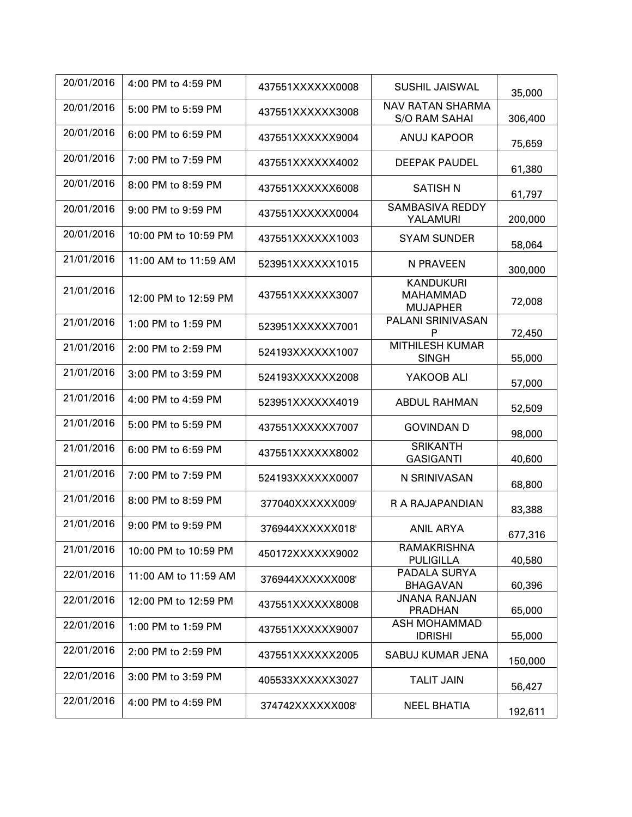| 20/01/2016 | 4:00 PM to 4:59 PM     | 437551XXXXXX0008 | <b>SUSHIL JAISWAL</b>                                  | 35,000  |
|------------|------------------------|------------------|--------------------------------------------------------|---------|
| 20/01/2016 | 5:00 PM to 5:59 PM     | 437551XXXXXX3008 | <b>NAV RATAN SHARMA</b><br><b>S/O RAM SAHAI</b>        | 306,400 |
| 20/01/2016 | 6:00 PM to 6:59 PM     | 437551XXXXXX9004 | <b>ANUJ KAPOOR</b>                                     | 75,659  |
| 20/01/2016 | 7:00 PM to 7:59 PM     | 437551XXXXXX4002 | <b>DEEPAK PAUDEL</b>                                   | 61,380  |
| 20/01/2016 | 8:00 PM to 8:59 PM     | 437551XXXXXX6008 | <b>SATISH N</b>                                        | 61,797  |
| 20/01/2016 | $9:00$ PM to $9:59$ PM | 437551XXXXXX0004 | <b>SAMBASIVA REDDY</b><br>YALAMURI                     | 200,000 |
| 20/01/2016 | 10:00 PM to 10:59 PM   | 437551XXXXXX1003 | <b>SYAM SUNDER</b>                                     | 58,064  |
| 21/01/2016 | 11:00 AM to 11:59 AM   | 523951XXXXXX1015 | N PRAVEEN                                              | 300,000 |
| 21/01/2016 | 12:00 PM to 12:59 PM   | 437551XXXXXX3007 | <b>KANDUKURI</b><br><b>MAHAMMAD</b><br><b>MUJAPHER</b> | 72,008  |
| 21/01/2016 | 1:00 PM to 1:59 PM     | 523951XXXXXX7001 | PALANI SRINIVASAN<br>P                                 | 72,450  |
| 21/01/2016 | 2:00 PM to 2:59 PM     | 524193XXXXXX1007 | <b>MITHILESH KUMAR</b><br><b>SINGH</b>                 | 55,000  |
| 21/01/2016 | 3:00 PM to 3:59 PM     | 524193XXXXXX2008 | YAKOOB ALI                                             | 57,000  |
| 21/01/2016 | 4:00 PM to 4:59 PM     | 523951XXXXXX4019 | <b>ABDUL RAHMAN</b>                                    | 52,509  |
| 21/01/2016 | 5:00 PM to 5:59 PM     | 437551XXXXXX7007 | <b>GOVINDAN D</b>                                      | 98,000  |
| 21/01/2016 | 6:00 PM to 6:59 PM     | 437551XXXXXX8002 | <b>SRIKANTH</b><br><b>GASIGANTI</b>                    | 40,600  |
| 21/01/2016 | 7:00 PM to 7:59 PM     | 524193XXXXXX0007 | N SRINIVASAN                                           | 68,800  |
| 21/01/2016 | 8:00 PM to 8:59 PM     | 377040XXXXXX009' | R A RAJAPANDIAN                                        | 83,388  |
| 21/01/2016 | 9:00 PM to 9:59 PM     | 376944XXXXXX018  | <b>ANIL ARYA</b>                                       | 677,316 |
| 21/01/2016 | 10:00 PM to 10:59 PM   | 450172XXXXXX9002 | <b>RAMAKRISHNA</b><br><b>PULIGILLA</b>                 | 40,580  |
| 22/01/2016 | 11:00 AM to 11:59 AM   | 376944XXXXXX008  | PADALA SURYA<br><b>BHAGAVAN</b>                        | 60,396  |
| 22/01/2016 | 12:00 PM to 12:59 PM   | 437551XXXXXX8008 | <b>JNANA RANJAN</b><br>PRADHAN                         | 65,000  |
| 22/01/2016 | 1:00 PM to 1:59 PM     | 437551XXXXXX9007 | <b>ASH MOHAMMAD</b><br><b>IDRISHI</b>                  | 55,000  |
| 22/01/2016 | 2:00 PM to 2:59 PM     | 437551XXXXXX2005 | SABUJ KUMAR JENA                                       | 150,000 |
| 22/01/2016 | 3:00 PM to 3:59 PM     | 405533XXXXXX3027 | <b>TALIT JAIN</b>                                      | 56,427  |
| 22/01/2016 | 4:00 PM to 4:59 PM     | 374742XXXXXX008  | <b>NEEL BHATIA</b>                                     | 192,611 |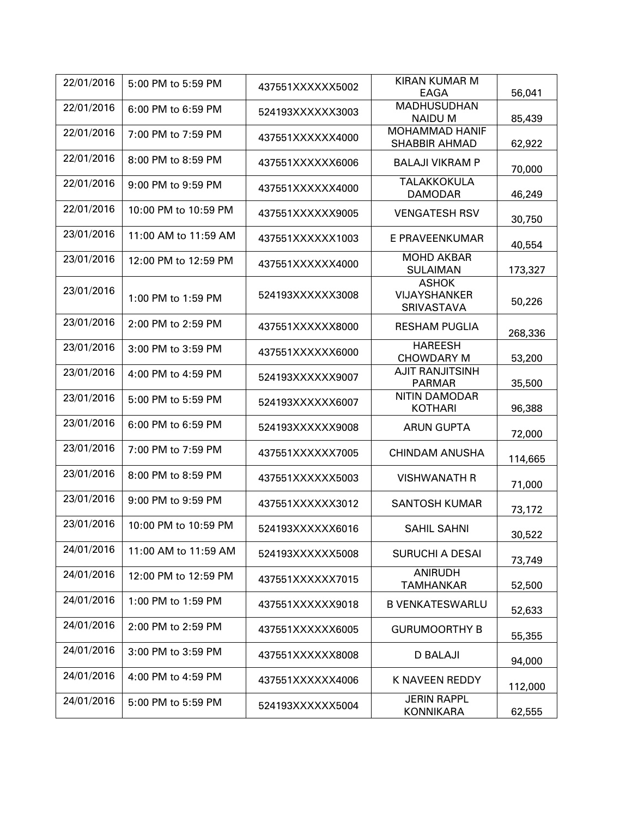| 22/01/2016 | 5:00 PM to 5:59 PM   | 437551XXXXXX5002 | <b>KIRAN KUMAR M</b>                                     |         |
|------------|----------------------|------------------|----------------------------------------------------------|---------|
| 22/01/2016 |                      |                  | EAGA<br><b>MADHUSUDHAN</b>                               | 56,041  |
|            | 6:00 PM to 6:59 PM   | 524193XXXXXX3003 | <b>NAIDUM</b>                                            | 85,439  |
| 22/01/2016 | 7:00 PM to 7:59 PM   | 437551XXXXXX4000 | <b>MOHAMMAD HANIF</b><br><b>SHABBIR AHMAD</b>            | 62,922  |
| 22/01/2016 | 8:00 PM to 8:59 PM   | 437551XXXXXX6006 | <b>BALAJI VIKRAM P</b>                                   | 70,000  |
| 22/01/2016 | 9:00 PM to 9:59 PM   | 437551XXXXXX4000 | TALAKKOKULA<br><b>DAMODAR</b>                            | 46,249  |
| 22/01/2016 | 10:00 PM to 10:59 PM | 437551XXXXXX9005 | <b>VENGATESH RSV</b>                                     | 30,750  |
| 23/01/2016 | 11:00 AM to 11:59 AM | 437551XXXXXX1003 | E PRAVEENKUMAR                                           | 40,554  |
| 23/01/2016 | 12:00 PM to 12:59 PM | 437551XXXXXX4000 | <b>MOHD AKBAR</b><br><b>SULAIMAN</b>                     | 173,327 |
| 23/01/2016 | 1:00 PM to 1:59 PM   | 524193XXXXXX3008 | <b>ASHOK</b><br><b>VIJAYSHANKER</b><br><b>SRIVASTAVA</b> | 50,226  |
| 23/01/2016 | 2:00 PM to 2:59 PM   | 437551XXXXXX8000 | <b>RESHAM PUGLIA</b>                                     | 268,336 |
| 23/01/2016 | 3:00 PM to 3:59 PM   | 437551XXXXXX6000 | <b>HAREESH</b><br><b>CHOWDARY M</b>                      | 53,200  |
| 23/01/2016 | 4:00 PM to 4:59 PM   | 524193XXXXXX9007 | <b>AJIT RANJITSINH</b><br><b>PARMAR</b>                  | 35,500  |
| 23/01/2016 | 5:00 PM to 5:59 PM   | 524193XXXXXX6007 | <b>NITIN DAMODAR</b><br><b>KOTHARI</b>                   | 96,388  |
| 23/01/2016 | 6:00 PM to 6:59 PM   | 524193XXXXXX9008 | <b>ARUN GUPTA</b>                                        | 72,000  |
| 23/01/2016 | 7:00 PM to 7:59 PM   | 437551XXXXXX7005 | <b>CHINDAM ANUSHA</b>                                    | 114,665 |
| 23/01/2016 | 8:00 PM to 8:59 PM   | 437551XXXXXX5003 | <b>VISHWANATH R</b>                                      | 71,000  |
| 23/01/2016 | 9:00 PM to 9:59 PM   | 437551XXXXXX3012 | <b>SANTOSH KUMAR</b>                                     | 73,172  |
| 23/01/2016 | 10:00 PM to 10:59 PM | 524193XXXXXX6016 | <b>SAHIL SAHNI</b>                                       | 30,522  |
| 24/01/2016 | 11:00 AM to 11:59 AM | 524193XXXXXX5008 | <b>SURUCHI A DESAI</b>                                   | 73,749  |
| 24/01/2016 | 12:00 PM to 12:59 PM | 437551XXXXXX7015 | <b>ANIRUDH</b><br><b>TAMHANKAR</b>                       | 52,500  |
| 24/01/2016 | 1:00 PM to 1:59 PM   | 437551XXXXXX9018 | <b>B VENKATESWARLU</b>                                   | 52,633  |
| 24/01/2016 | 2:00 PM to 2:59 PM   | 437551XXXXXX6005 | <b>GURUMOORTHY B</b>                                     | 55,355  |
| 24/01/2016 | 3:00 PM to 3:59 PM   | 437551XXXXXX8008 | <b>D BALAJI</b>                                          | 94,000  |
| 24/01/2016 | 4:00 PM to 4:59 PM   | 437551XXXXXX4006 | K NAVEEN REDDY                                           | 112,000 |
| 24/01/2016 | 5:00 PM to 5:59 PM   | 524193XXXXXX5004 | <b>JERIN RAPPL</b><br><b>KONNIKARA</b>                   | 62,555  |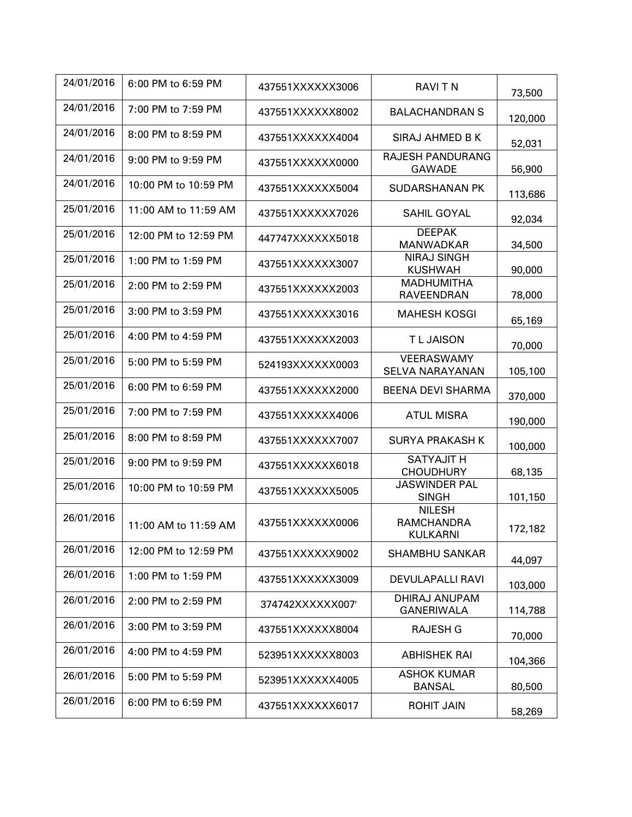| 24/01/2016 | 6:00 PM to 6:59 PM   | 437551XXXXXX3006 | <b>RAVITN</b>                                         | 73,500  |
|------------|----------------------|------------------|-------------------------------------------------------|---------|
| 24/01/2016 | 7:00 PM to 7:59 PM   | 437551XXXXXX8002 | <b>BALACHANDRAN S</b>                                 | 120,000 |
| 24/01/2016 | 8:00 PM to 8:59 PM   | 437551XXXXXX4004 | SIRAJ AHMED B K                                       | 52,031  |
| 24/01/2016 | 9:00 PM to 9:59 PM   | 437551XXXXXX0000 | <b>RAJESH PANDURANG</b><br><b>GAWADE</b>              | 56,900  |
| 24/01/2016 | 10:00 PM to 10:59 PM | 437551XXXXXX5004 | <b>SUDARSHANAN PK</b>                                 | 113,686 |
| 25/01/2016 | 11:00 AM to 11:59 AM | 437551XXXXXX7026 | SAHIL GOYAL                                           | 92,034  |
| 25/01/2016 | 12:00 PM to 12:59 PM | 447747XXXXXX5018 | <b>DEEPAK</b><br><b>MANWADKAR</b>                     | 34,500  |
| 25/01/2016 | 1:00 PM to 1:59 PM   | 437551XXXXXX3007 | <b>NIRAJ SINGH</b><br><b>KUSHWAH</b>                  | 90,000  |
| 25/01/2016 | 2:00 PM to 2:59 PM   | 437551XXXXXX2003 | <b>MADHUMITHA</b><br><b>RAVEENDRAN</b>                | 78,000  |
| 25/01/2016 | 3:00 PM to 3:59 PM   | 437551XXXXXX3016 | <b>MAHESH KOSGI</b>                                   | 65,169  |
| 25/01/2016 | 4:00 PM to 4:59 PM   | 437551XXXXXX2003 | <b>TLJAISON</b>                                       | 70,000  |
| 25/01/2016 | 5:00 PM to 5:59 PM   | 524193XXXXXX0003 | VEERASWAMY<br>SELVA NARAYANAN                         | 105,100 |
| 25/01/2016 | 6:00 PM to 6:59 PM   | 437551XXXXXX2000 | <b>BEENA DEVI SHARMA</b>                              | 370,000 |
| 25/01/2016 | 7:00 PM to 7:59 PM   | 437551XXXXXX4006 | <b>ATUL MISRA</b>                                     | 190,000 |
| 25/01/2016 | 8:00 PM to 8:59 PM   | 437551XXXXXX7007 | <b>SURYA PRAKASH K</b>                                | 100,000 |
| 25/01/2016 | 9:00 PM to 9:59 PM   | 437551XXXXXX6018 | <b>SATYAJIT H</b><br><b>CHOUDHURY</b>                 | 68,135  |
| 25/01/2016 | 10:00 PM to 10:59 PM | 437551XXXXXX5005 | <b>JASWINDER PAL</b><br><b>SINGH</b>                  | 101,150 |
| 26/01/2016 | 11:00 AM to 11:59 AM | 437551XXXXXX0006 | <b>NILESH</b><br><b>RAMCHANDRA</b><br><b>KULKARNI</b> | 172,182 |
| 26/01/2016 | 12:00 PM to 12:59 PM | 437551XXXXXX9002 | <b>SHAMBHU SANKAR</b>                                 | 44,097  |
| 26/01/2016 | 1:00 PM to 1:59 PM   | 437551XXXXXX3009 | <b>DEVULAPALLI RAVI</b>                               | 103,000 |
| 26/01/2016 | 2:00 PM to 2:59 PM   | 374742XXXXXX007  | <b>DHIRAJ ANUPAM</b><br><b>GANERIWALA</b>             | 114,788 |
| 26/01/2016 | 3:00 PM to 3:59 PM   | 437551XXXXXX8004 | RAJESH G                                              | 70,000  |
| 26/01/2016 | 4:00 PM to 4:59 PM   | 523951XXXXXX8003 | <b>ABHISHEK RAI</b>                                   | 104,366 |
| 26/01/2016 | 5:00 PM to 5:59 PM   | 523951XXXXX4005  | <b>ASHOK KUMAR</b><br><b>BANSAL</b>                   | 80,500  |
| 26/01/2016 | 6:00 PM to 6:59 PM   | 437551XXXXXX6017 | <b>ROHIT JAIN</b>                                     | 58,269  |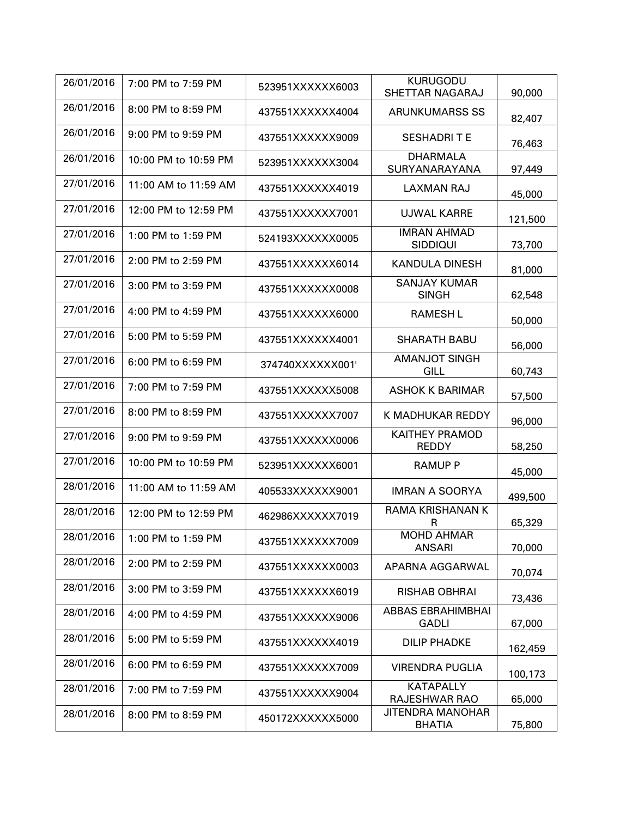| 26/01/2016 | 7:00 PM to 7:59 PM   | 523951XXXXXX6003 | <b>KURUGODU</b><br>SHETTAR NAGARAJ       | 90,000  |
|------------|----------------------|------------------|------------------------------------------|---------|
| 26/01/2016 | 8:00 PM to 8:59 PM   | 437551XXXXXX4004 | <b>ARUNKUMARSS SS</b>                    | 82,407  |
| 26/01/2016 | 9:00 PM to 9:59 PM   | 437551XXXXXX9009 | <b>SESHADRITE</b>                        | 76,463  |
| 26/01/2016 | 10:00 PM to 10:59 PM | 523951XXXXXX3004 | <b>DHARMALA</b><br>SURYANARAYANA         | 97,449  |
| 27/01/2016 | 11:00 AM to 11:59 AM | 437551XXXXXX4019 | <b>LAXMAN RAJ</b>                        | 45,000  |
| 27/01/2016 | 12:00 PM to 12:59 PM | 437551XXXXXX7001 | <b>UJWAL KARRE</b>                       | 121,500 |
| 27/01/2016 | 1:00 PM to 1:59 PM   | 524193XXXXXX0005 | <b>IMRAN AHMAD</b><br><b>SIDDIQUI</b>    | 73,700  |
| 27/01/2016 | 2:00 PM to 2:59 PM   | 437551XXXXXX6014 | <b>KANDULA DINESH</b>                    | 81,000  |
| 27/01/2016 | 3:00 PM to 3:59 PM   | 437551XXXXXX0008 | <b>SANJAY KUMAR</b><br><b>SINGH</b>      | 62,548  |
| 27/01/2016 | 4:00 PM to 4:59 PM   | 437551XXXXXX6000 | <b>RAMESH L</b>                          | 50,000  |
| 27/01/2016 | 5:00 PM to 5:59 PM   | 437551XXXXXX4001 | <b>SHARATH BABU</b>                      | 56,000  |
| 27/01/2016 | 6:00 PM to 6:59 PM   | 374740XXXXXX001  | <b>AMANJOT SINGH</b><br>GILL             | 60,743  |
| 27/01/2016 | 7:00 PM to 7:59 PM   | 437551XXXXXX5008 | <b>ASHOK K BARIMAR</b>                   | 57,500  |
| 27/01/2016 | 8:00 PM to 8:59 PM   | 437551XXXXXX7007 | K MADHUKAR REDDY                         | 96,000  |
| 27/01/2016 | 9:00 PM to 9:59 PM   | 437551XXXXXX0006 | <b>KAITHEY PRAMOD</b><br><b>REDDY</b>    | 58,250  |
| 27/01/2016 | 10:00 PM to 10:59 PM | 523951XXXXXX6001 | <b>RAMUP P</b>                           | 45,000  |
| 28/01/2016 | 11:00 AM to 11:59 AM | 405533XXXXXX9001 | <b>IMRAN A SOORYA</b>                    | 499,500 |
| 28/01/2016 | 12:00 PM to 12:59 PM | 462986XXXXXX7019 | <b>RAMA KRISHANAN K</b><br>R             | 65,329  |
| 28/01/2016 | 1:00 PM to 1:59 PM   | 437551XXXXXX7009 | <b>MOHD AHMAR</b><br><b>ANSARI</b>       | 70,000  |
| 28/01/2016 | 2:00 PM to 2:59 PM   | 437551XXXXXX0003 | APARNA AGGARWAL                          | 70,074  |
| 28/01/2016 | 3:00 PM to 3:59 PM   | 437551XXXXXX6019 | <b>RISHAB OBHRAI</b>                     | 73,436  |
| 28/01/2016 | 4:00 PM to 4:59 PM   | 437551XXXXXX9006 | <b>ABBAS EBRAHIMBHAI</b><br><b>GADLI</b> | 67,000  |
| 28/01/2016 | 5:00 PM to 5:59 PM   | 437551XXXXXX4019 | <b>DILIP PHADKE</b>                      | 162,459 |
| 28/01/2016 | 6:00 PM to 6:59 PM   | 437551XXXXXX7009 | <b>VIRENDRA PUGLIA</b>                   | 100,173 |
| 28/01/2016 | 7:00 PM to 7:59 PM   | 437551XXXXXX9004 | <b>KATAPALLY</b><br>RAJESHWAR RAO        | 65,000  |
| 28/01/2016 | 8:00 PM to 8:59 PM   | 450172XXXXXX5000 | JITENDRA MANOHAR<br><b>BHATIA</b>        | 75,800  |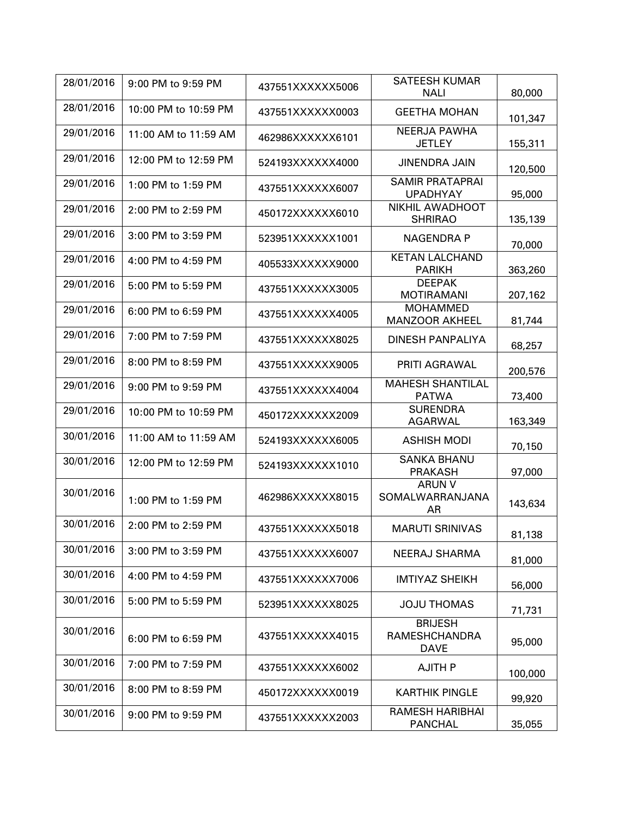| 28/01/2016 | 9:00 PM to 9:59 PM   |                  | <b>SATEESH KUMAR</b>                                  |         |
|------------|----------------------|------------------|-------------------------------------------------------|---------|
|            |                      | 437551XXXXXX5006 | <b>NALI</b>                                           | 80,000  |
| 28/01/2016 | 10:00 PM to 10:59 PM | 437551XXXXXX0003 | <b>GEETHA MOHAN</b>                                   | 101,347 |
| 29/01/2016 | 11:00 AM to 11:59 AM | 462986XXXXXX6101 | <b>NEERJA PAWHA</b><br><b>JETLEY</b>                  | 155,311 |
| 29/01/2016 | 12:00 PM to 12:59 PM | 524193XXXXXX4000 | <b>JINENDRA JAIN</b>                                  | 120,500 |
| 29/01/2016 | 1:00 PM to 1:59 PM   | 437551XXXXXX6007 | <b>SAMIR PRATAPRAI</b><br><b>UPADHYAY</b>             | 95,000  |
| 29/01/2016 | 2:00 PM to 2:59 PM   | 450172XXXXXX6010 | NIKHIL AWADHOOT<br><b>SHRIRAO</b>                     | 135,139 |
| 29/01/2016 | 3:00 PM to 3:59 PM   | 523951XXXXXX1001 | <b>NAGENDRA P</b>                                     | 70,000  |
| 29/01/2016 | 4:00 PM to 4:59 PM   | 405533XXXXXX9000 | <b>KETAN LALCHAND</b><br><b>PARIKH</b>                | 363,260 |
| 29/01/2016 | 5:00 PM to 5:59 PM   | 437551XXXXXX3005 | <b>DEEPAK</b><br><b>MOTIRAMANI</b>                    | 207,162 |
| 29/01/2016 | 6:00 PM to 6:59 PM   | 437551XXXXXX4005 | <b>MOHAMMED</b><br><b>MANZOOR AKHEEL</b>              | 81,744  |
| 29/01/2016 | 7:00 PM to 7:59 PM   | 437551XXXXXX8025 | <b>DINESH PANPALIYA</b>                               | 68,257  |
| 29/01/2016 | 8:00 PM to 8:59 PM   | 437551XXXXXX9005 | PRITI AGRAWAL                                         | 200,576 |
| 29/01/2016 | 9:00 PM to 9:59 PM   | 437551XXXXXX4004 | <b>MAHESH SHANTILAL</b><br><b>PATWA</b>               | 73,400  |
| 29/01/2016 | 10:00 PM to 10:59 PM | 450172XXXXXX2009 | <b>SURENDRA</b><br><b>AGARWAL</b>                     | 163,349 |
| 30/01/2016 | 11:00 AM to 11:59 AM | 524193XXXXXX6005 | <b>ASHISH MODI</b>                                    | 70,150  |
| 30/01/2016 | 12:00 PM to 12:59 PM | 524193XXXXXX1010 | <b>SANKA BHANU</b><br><b>PRAKASH</b>                  | 97,000  |
| 30/01/2016 | 1:00 PM to 1:59 PM   | 462986XXXXXX8015 | <b>ARUN V</b><br>SOMALWARRANJANA<br>AR                | 143,634 |
| 30/01/2016 | 2:00 PM to 2:59 PM   | 437551XXXXXX5018 | <b>MARUTI SRINIVAS</b>                                | 81,138  |
| 30/01/2016 | 3:00 PM to 3:59 PM   | 437551XXXXXX6007 | NEERAJ SHARMA                                         | 81,000  |
| 30/01/2016 | 4:00 PM to 4:59 PM   | 437551XXXXXX7006 | <b>IMTIYAZ SHEIKH</b>                                 | 56,000  |
| 30/01/2016 | 5:00 PM to 5:59 PM   | 523951XXXXXX8025 | <b>JOJU THOMAS</b>                                    | 71,731  |
| 30/01/2016 | 6:00 PM to 6:59 PM   | 437551XXXXXX4015 | <b>BRIJESH</b><br><b>RAMESHCHANDRA</b><br><b>DAVE</b> | 95,000  |
| 30/01/2016 | 7:00 PM to 7:59 PM   | 437551XXXXXX6002 | <b>AJITH P</b>                                        | 100,000 |
| 30/01/2016 | 8:00 PM to 8:59 PM   | 450172XXXXXX0019 | <b>KARTHIK PINGLE</b>                                 | 99,920  |
| 30/01/2016 | 9:00 PM to 9:59 PM   | 437551XXXXXX2003 | <b>RAMESH HARIBHAI</b><br><b>PANCHAL</b>              | 35,055  |